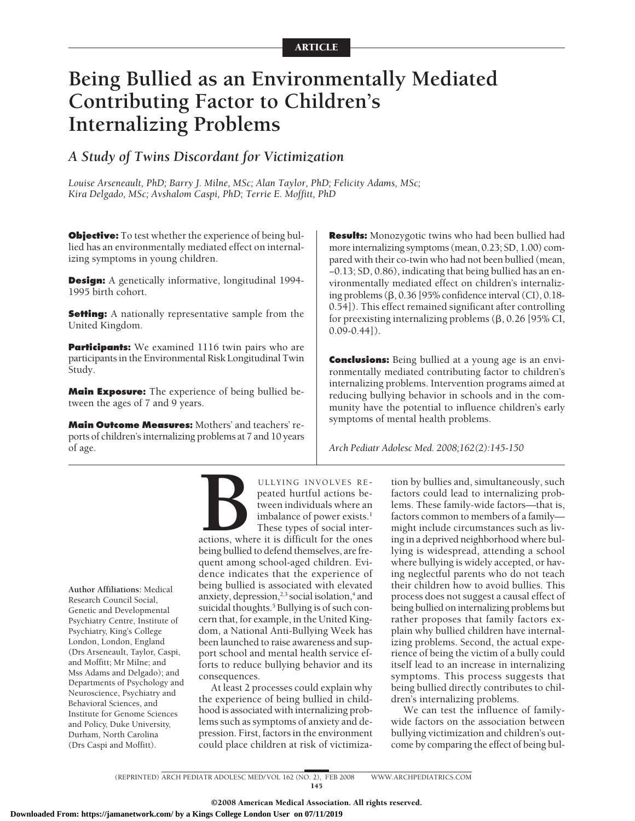# ARTICLE

# **Being Bullied as an Environmentally Mediated Contributing Factor to Children's Internalizing Problems**

# *A Study of Twins Discordant for Victimization*

*Louise Arseneault, PhD; Barry J. Milne, MSc; Alan Taylor, PhD; Felicity Adams, MSc; Kira Delgado, MSc; Avshalom Caspi, PhD; Terrie E. Moffitt, PhD*

**Objective:** To test whether the experience of being bullied has an environmentally mediated effect on internalizing symptoms in young children.

**Design:** A genetically informative, longitudinal 1994-1995 birth cohort.

**Setting:** A nationally representative sample from the United Kingdom.

**Participants:** We examined 1116 twin pairs who are participants in the Environmental Risk Longitudinal Twin Study.

**Main Exposure:** The experience of being bullied between the ages of 7 and 9 years.

**Main Outcome Measures:** Mothers' and teachers' reports of children's internalizing problems at 7 and 10 years of age.

**Results:** Monozygotic twins who had been bullied had more internalizing symptoms (mean, 0.23; SD, 1.00) compared with their co-twin who had not been bullied (mean, −0.13; SD, 0.86), indicating that being bullied has an environmentally mediated effect on children's internalizing problems  $(\beta, 0.36$  [95% confidence interval (CI), 0.18-0.54]). This effect remained significant after controlling for preexisting internalizing problems  $(\beta, 0.26$  [95% CI,  $0.09 - 0.44$ ]).

**Conclusions:** Being bullied at a young age is an environmentally mediated contributing factor to children's internalizing problems. Intervention programs aimed at reducing bullying behavior in schools and in the community have the potential to influence children's early symptoms of mental health problems.

*Arch Pediatr Adolesc Med. 2008;162(2):145-150*

**Author Affiliations:** Medical Research Council Social, Genetic and Developmental Psychiatry Centre, Institute of Psychiatry, King's College London, London, England (Drs Arseneault, Taylor, Caspi, and Moffitt; Mr Milne; and Mss Adams and Delgado); and Departments of Psychology and Neuroscience, Psychiatry and Behavioral Sciences, and Institute for Genome Sciences and Policy, Duke University, Durham, North Carolina (Drs Caspi and Moffitt).

ULLYING INVOLVES RE-<br>peated hurtful actions be-<br>tween individuals where an<br>imbalance of power exists.<sup>1</sup><br>These types of social inter-<br>actions, where it is difficult for the ones<br>being bullied to defend themselves. are frepeated hurtful actions between individuals where an imbalance of power exists. $<sup>1</sup>$ </sup> These types of social inter-

actions, where it is difficult for the ones being bullied to defend themselves, are frequent among school-aged children. Evidence indicates that the experience of being bullied is associated with elevated anxiety, depression,<sup>2,3</sup> social isolation,<sup>4</sup> and suicidal thoughts.<sup>5</sup> Bullying is of such concern that, for example, in the United Kingdom, a National Anti-Bullying Week has been launched to raise awareness and support school and mental health service efforts to reduce bullying behavior and its consequences.

At least 2 processes could explain why the experience of being bullied in childhood is associated with internalizing problems such as symptoms of anxiety and depression. First, factors in the environment could place children at risk of victimization by bullies and, simultaneously, such factors could lead to internalizing problems. These family-wide factors—that is, factors common to members of a family might include circumstances such as living in a deprived neighborhood where bullying is widespread, attending a school where bullying is widely accepted, or having neglectful parents who do not teach their children how to avoid bullies. This process does not suggest a causal effect of being bullied on internalizing problems but rather proposes that family factors explain why bullied children have internalizing problems. Second, the actual experience of being the victim of a bully could itself lead to an increase in internalizing symptoms. This process suggests that being bullied directly contributes to children's internalizing problems.

We can test the influence of familywide factors on the association between bullying victimization and children's outcome by comparing the effect of being bul-

(REPRINTED) ARCH PEDIATR ADOLESC MED/ VOL 162 (NO. 2), FEB 2008 WWW.ARCHPEDIATRICS.COM 145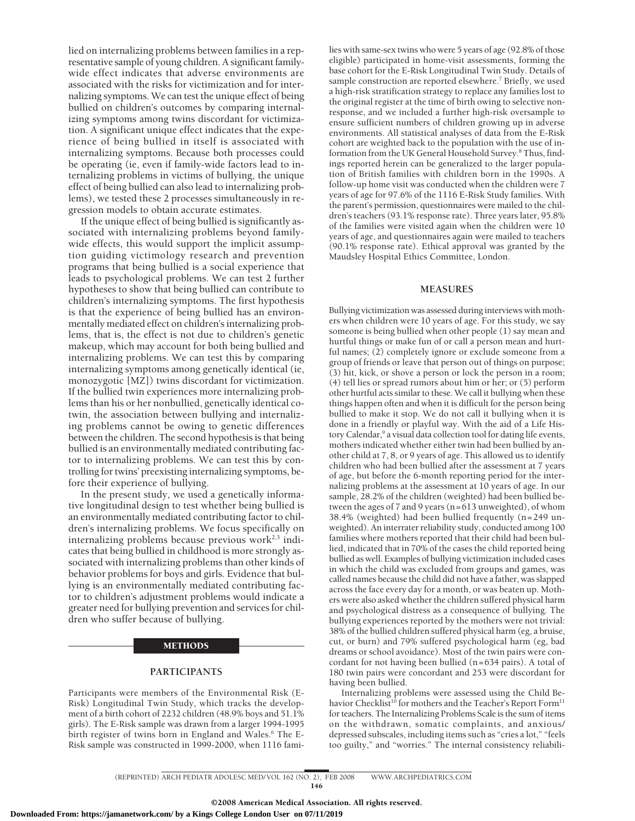lied on internalizing problems between families in a representative sample of young children. A significant familywide effect indicates that adverse environments are associated with the risks for victimization and for internalizing symptoms. We can test the unique effect of being bullied on children's outcomes by comparing internalizing symptoms among twins discordant for victimization. A significant unique effect indicates that the experience of being bullied in itself is associated with internalizing symptoms. Because both processes could be operating (ie, even if family-wide factors lead to internalizing problems in victims of bullying, the unique effect of being bullied can also lead to internalizing problems), we tested these 2 processes simultaneously in regression models to obtain accurate estimates.

If the unique effect of being bullied is significantly associated with internalizing problems beyond familywide effects, this would support the implicit assumption guiding victimology research and prevention programs that being bullied is a social experience that leads to psychological problems. We can test 2 further hypotheses to show that being bullied can contribute to children's internalizing symptoms. The first hypothesis is that the experience of being bullied has an environmentally mediated effect on children's internalizing problems, that is, the effect is not due to children's genetic makeup, which may account for both being bullied and internalizing problems. We can test this by comparing internalizing symptoms among genetically identical (ie, monozygotic [MZ]) twins discordant for victimization. If the bullied twin experiences more internalizing problems than his or her nonbullied, genetically identical cotwin, the association between bullying and internalizing problems cannot be owing to genetic differences between the children. The second hypothesis is that being bullied is an environmentally mediated contributing factor to internalizing problems. We can test this by controlling for twins' preexisting internalizing symptoms, before their experience of bullying.

In the present study, we used a genetically informative longitudinal design to test whether being bullied is an environmentally mediated contributing factor to children's internalizing problems. We focus specifically on internalizing problems because previous work $2,3$  indicates that being bullied in childhood is more strongly associated with internalizing problems than other kinds of behavior problems for boys and girls. Evidence that bullying is an environmentally mediated contributing factor to children's adjustment problems would indicate a greater need for bullying prevention and services for children who suffer because of bullying.

#### METHODS

# **PARTICIPANTS**

Participants were members of the Environmental Risk (E-Risk) Longitudinal Twin Study, which tracks the development of a birth cohort of 2232 children (48.9% boys and 51.1% girls). The E-Risk sample was drawn from a larger 1994-1995 birth register of twins born in England and Wales.<sup>6</sup> The E-Risk sample was constructed in 1999-2000, when 1116 families with same-sex twins who were 5 years of age (92.8% of those eligible) participated in home-visit assessments, forming the base cohort for the E-Risk Longitudinal Twin Study. Details of sample construction are reported elsewhere.<sup>7</sup> Briefly, we used a high-risk stratification strategy to replace any families lost to the original register at the time of birth owing to selective nonresponse, and we included a further high-risk oversample to ensure sufficient numbers of children growing up in adverse environments. All statistical analyses of data from the E-Risk cohort are weighted back to the population with the use of information from the UK General Household Survey.8 Thus, findings reported herein can be generalized to the larger population of British families with children born in the 1990s. A follow-up home visit was conducted when the children were 7 years of age for 97.6% of the 1116 E-Risk Study families. With the parent's permission, questionnaires were mailed to the children's teachers (93.1% response rate). Three years later, 95.8% of the families were visited again when the children were 10 years of age, and questionnaires again were mailed to teachers (90.1% response rate). Ethical approval was granted by the Maudsley Hospital Ethics Committee, London.

#### **MEASURES**

Bullying victimization was assessed during interviews with mothers when children were 10 years of age. For this study, we say someone is being bullied when other people (1) say mean and hurtful things or make fun of or call a person mean and hurtful names; (2) completely ignore or exclude someone from a group of friends or leave that person out of things on purpose; (3) hit, kick, or shove a person or lock the person in a room; (4) tell lies or spread rumors about him or her; or (5) perform other hurtful acts similar to these. We call it bullying when these things happen often and when it is difficult for the person being bullied to make it stop. We do not call it bullying when it is done in a friendly or playful way. With the aid of a Life History Calendar,<sup>9</sup> a visual data collection tool for dating life events, mothers indicated whether either twin had been bullied by another child at 7, 8, or 9 years of age. This allowed us to identify children who had been bullied after the assessment at 7 years of age, but before the 6-month reporting period for the internalizing problems at the assessment at 10 years of age. In our sample, 28.2% of the children (weighted) had been bullied between the ages of 7 and 9 years (n=613 unweighted), of whom 38.4% (weighted) had been bullied frequently (n=249 unweighted). An interrater reliability study, conducted among 100 families where mothers reported that their child had been bullied, indicated that in 70% of the cases the child reported being bullied as well. Examples of bullying victimization included cases in which the child was excluded from groups and games, was called names because the child did not have a father, was slapped across the face every day for a month, or was beaten up. Mothers were also asked whether the children suffered physical harm and psychological distress as a consequence of bullying. The bullying experiences reported by the mothers were not trivial: 38% of the bullied children suffered physical harm (eg, a bruise, cut, or burn) and 79% suffered psychological harm (eg, bad dreams or school avoidance). Most of the twin pairs were concordant for not having been bullied (n=634 pairs). A total of 180 twin pairs were concordant and 253 were discordant for having been bullied.

Internalizing problems were assessed using the Child Behavior Checklist<sup>10</sup> for mothers and the Teacher's Report Form<sup>11</sup> for teachers. The Internalizing Problems Scale is the sum of items on the withdrawn, somatic complaints, and anxious/ depressed subscales, including items such as "cries a lot," "feels too guilty," and "worries." The internal consistency reliabili-

(REPRINTED) ARCH PEDIATR ADOLESC MED/ VOL 162 (NO. 2), FEB 2008 WWW.ARCHPEDIATRICS.COM 146

©2008 American Medical Association. All rights reserved.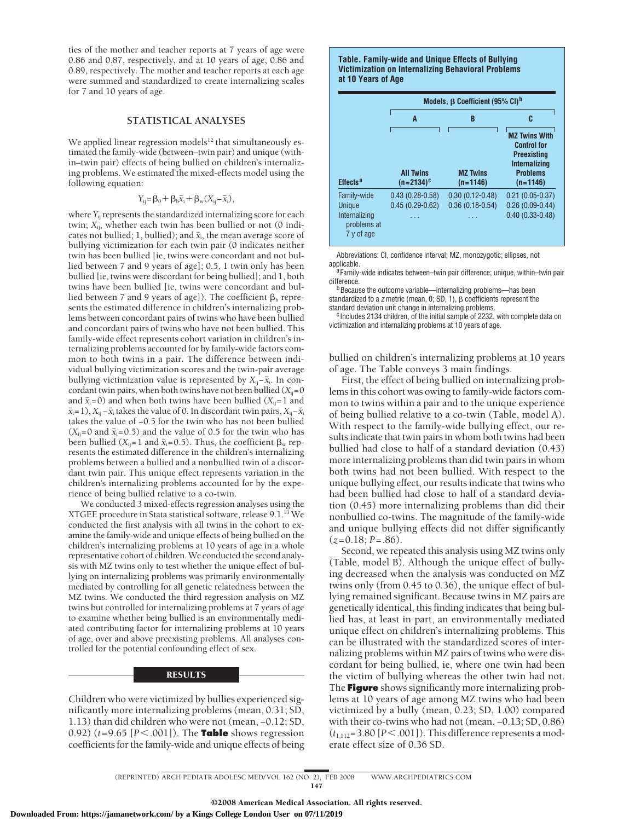ties of the mother and teacher reports at 7 years of age were 0.86 and 0.87, respectively, and at 10 years of age, 0.86 and 0.89, respectively. The mother and teacher reports at each age were summed and standardized to create internalizing scales for 7 and 10 years of age.

# **STATISTICAL ANALYSES**

We applied linear regression models<sup>12</sup> that simultaneously estimated the family-wide (between–twin pair) and unique (within–twin pair) effects of being bullied on children's internalizing problems. We estimated the mixed-effects model using the following equation:

# $Y_{ij} = \beta_0 + \beta_b \bar{x}_i + \beta_w(X_{ij} - \bar{x}_i),$

where *Y*<sub>ij</sub> represents the standardized internalizing score for each twin;  $X_{ij}$ , whether each twin has been bullied or not (0 indicates not bullied; 1, bullied); and *x*i, the mean average score of bullying victimization for each twin pair (0 indicates neither twin has been bullied [ie, twins were concordant and not bullied between 7 and 9 years of age]; 0.5, 1 twin only has been bullied [ie, twins were discordant for being bullied]; and 1, both twins have been bullied [ie, twins were concordant and bullied between 7 and 9 years of age]). The coefficient  $\beta_b$  represents the estimated difference in children's internalizing problems between concordant pairs of twins who have been bullied and concordant pairs of twins who have not been bullied. This family-wide effect represents cohort variation in children's internalizing problems accounted for by family-wide factors common to both twins in a pair. The difference between individual bullying victimization scores and the twin-pair average bullying victimization value is represented by  $X_{ii}$ – $\bar{x}_i$ . In concordant twin pairs, when both twins have not been bullied  $(X_{ij}=0)$ and  $\bar{x}_i$ =0) and when both twins have been bullied ( $X_{ii}$ =1 and  $\bar{x}_i$ =1),  $X_{ij}$  − $\bar{x}_i$  takes the value of 0. In discordant twin pairs,  $X_{ij}$  − $\bar{x}_i$ takes the value of −0.5 for the twin who has not been bullied  $(X_{ii}=0 \text{ and } \bar{x}_i=0.5)$  and the value of 0.5 for the twin who has been bullied ( $X_{ij}=1$  and  $\bar{x}_i=0.5$ ). Thus, the coefficient  $\beta_w$  represents the estimated difference in the children's internalizing problems between a bullied and a nonbullied twin of a discordant twin pair. This unique effect represents variation in the children's internalizing problems accounted for by the experience of being bullied relative to a co-twin.

We conducted 3 mixed-effects regression analyses using the XTGEE procedure in Stata statistical software, release 9.1.13 We conducted the first analysis with all twins in the cohort to examine the family-wide and unique effects of being bullied on the children's internalizing problems at 10 years of age in a whole representative cohort of children. We conducted the second analysis with MZ twins only to test whether the unique effect of bullying on internalizing problems was primarily environmentally mediated by controlling for all genetic relatedness between the MZ twins. We conducted the third regression analysis on MZ twins but controlled for internalizing problems at 7 years of age to examine whether being bullied is an environmentally mediated contributing factor for internalizing problems at 10 years of age, over and above preexisting problems. All analyses controlled for the potential confounding effect of sex.

#### RESULTS

Children who were victimized by bullies experienced significantly more internalizing problems (mean, 0.31; SD, 1.13) than did children who were not (mean, −0.12; SD, 0.92) (*t*=9.65 [*P*.001]). The **Table** shows regression coefficients for the family-wide and unique effects of being

#### **Table. Family-wide and Unique Effects of Bullying Victimization on Internalizing Behavioral Problems at 10 Years of Age**

|                                            | Models, B Coefficient (95% CI) <sup>b</sup> |                               |                                                                                                                           |
|--------------------------------------------|---------------------------------------------|-------------------------------|---------------------------------------------------------------------------------------------------------------------------|
|                                            | A                                           | B                             | C                                                                                                                         |
| Effects <sup>a</sup>                       | <b>All Twins</b><br>$(n=2134)^c$            | <b>MZ Twins</b><br>$(n=1146)$ | <b>MZ Twins With</b><br><b>Control for</b><br><b>Preexisting</b><br><b>Internalizing</b><br><b>Problems</b><br>$(n=1146)$ |
| Family-wide                                | $0.43(0.28-0.58)$                           | $0.30(0.12 - 0.48)$           | $0.21(0.05-0.37)$                                                                                                         |
| Unique                                     | $0.45(0.29-0.62)$                           | $0.36(0.18-0.54)$             | $0.26(0.09-0.44)$                                                                                                         |
| Internalizing<br>problems at<br>7 y of age | .                                           | .                             | $0.40(0.33 - 0.48)$                                                                                                       |

Abbreviations: CI, confidence interval; MZ, monozygotic; ellipses, not

applicable.<br><sup>a</sup> Family-wide indicates between–twin pair difference; unique, within–twin pair difference.

b Because the outcome variable—internalizing problems—has been standardized to a *z* metric (mean, 0; SD, 1),  $\beta$  coefficients represent the standard deviation unit change in internalizing problems.

<sup>c</sup> Includes 2134 children, of the initial sample of 2232, with complete data on victimization and internalizing problems at 10 years of age.

bullied on children's internalizing problems at 10 years of age. The Table conveys 3 main findings.

First, the effect of being bullied on internalizing problems in this cohort was owing to family-wide factors common to twins within a pair and to the unique experience of being bullied relative to a co-twin (Table, model A). With respect to the family-wide bullying effect, our results indicate that twin pairs in whom both twins had been bullied had close to half of a standard deviation (0.43) more internalizing problems than did twin pairs in whom both twins had not been bullied. With respect to the unique bullying effect, our results indicate that twins who had been bullied had close to half of a standard deviation (0.45) more internalizing problems than did their nonbullied co-twins. The magnitude of the family-wide and unique bullying effects did not differ significantly  $(z=0.18; P=.86)$ .

Second, we repeated this analysis using MZ twins only (Table, model B). Although the unique effect of bullying decreased when the analysis was conducted on MZ twins only (from 0.45 to 0.36), the unique effect of bullying remained significant. Because twins in MZ pairs are genetically identical, this finding indicates that being bullied has, at least in part, an environmentally mediated unique effect on children's internalizing problems. This can be illustrated with the standardized scores of internalizing problems within MZ pairs of twins who were discordant for being bullied, ie, where one twin had been the victim of bullying whereas the other twin had not. The **Figure** shows significantly more internalizing problems at 10 years of age among MZ twins who had been victimized by a bully (mean, 0.23; SD, 1.00) compared with their co-twins who had not (mean, –0.13; SD, 0.86)  $(t_{1,112}=3.80$  [ $P<.001$ ]). This difference represents a moderate effect size of 0.36 SD.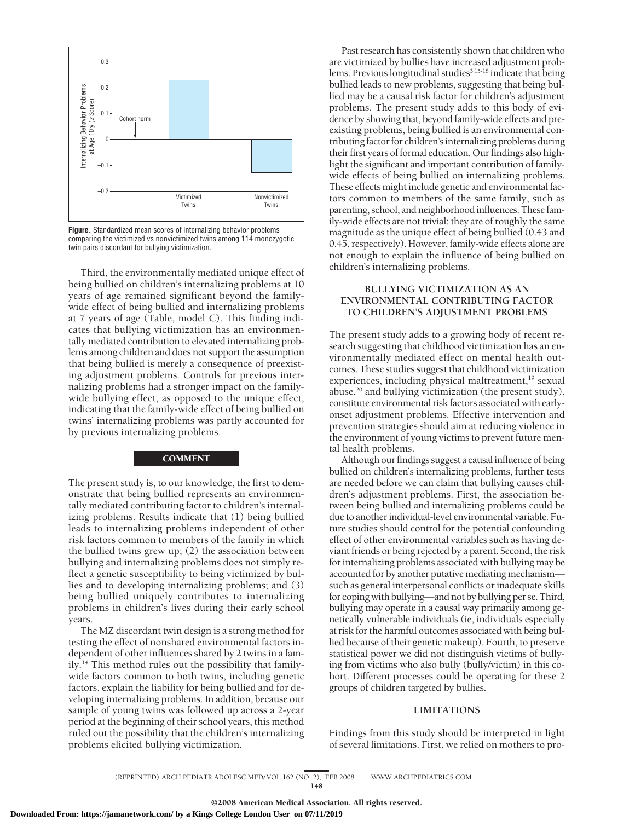

**Figure.** Standardized mean scores of internalizing behavior problems comparing the victimized vs nonvictimized twins among 114 monozygotic twin pairs discordant for bullying victimization.

Third, the environmentally mediated unique effect of being bullied on children's internalizing problems at 10 years of age remained significant beyond the familywide effect of being bullied and internalizing problems at 7 years of age (Table, model C). This finding indicates that bullying victimization has an environmentally mediated contribution to elevated internalizing problems among children and does not support the assumption that being bullied is merely a consequence of preexisting adjustment problems. Controls for previous internalizing problems had a stronger impact on the familywide bullying effect, as opposed to the unique effect, indicating that the family-wide effect of being bullied on twins' internalizing problems was partly accounted for by previous internalizing problems.

#### COMMENT

The present study is, to our knowledge, the first to demonstrate that being bullied represents an environmentally mediated contributing factor to children's internalizing problems. Results indicate that (1) being bullied leads to internalizing problems independent of other risk factors common to members of the family in which the bullied twins grew up; (2) the association between bullying and internalizing problems does not simply reflect a genetic susceptibility to being victimized by bullies and to developing internalizing problems; and (3) being bullied uniquely contributes to internalizing problems in children's lives during their early school years.

The MZ discordant twin design is a strong method for testing the effect of nonshared environmental factors independent of other influences shared by 2 twins in a family.14 This method rules out the possibility that familywide factors common to both twins, including genetic factors, explain the liability for being bullied and for developing internalizing problems. In addition, because our sample of young twins was followed up across a 2-year period at the beginning of their school years, this method ruled out the possibility that the children's internalizing problems elicited bullying victimization.

Past research has consistently shown that children who are victimized by bullies have increased adjustment problems. Previous longitudinal studies<sup>3,15-18</sup> indicate that being bullied leads to new problems, suggesting that being bullied may be a causal risk factor for children's adjustment problems. The present study adds to this body of evidence by showing that, beyond family-wide effects and preexisting problems, being bullied is an environmental contributing factor for children's internalizing problems during their first years of formal education. Our findings also highlight the significant and important contribution of familywide effects of being bullied on internalizing problems. These effects might include genetic and environmental factors common to members of the same family, such as parenting, school, and neighborhood influences. These family-wide effects are not trivial: they are of roughly the same magnitude as the unique effect of being bullied (0.43 and 0.45, respectively). However, family-wide effects alone are not enough to explain the influence of being bullied on children's internalizing problems.

# **BULLYING VICTIMIZATION AS AN ENVIRONMENTAL CONTRIBUTING FACTOR TO CHILDREN'S ADJUSTMENT PROBLEMS**

The present study adds to a growing body of recent research suggesting that childhood victimization has an environmentally mediated effect on mental health outcomes. These studies suggest that childhood victimization experiences, including physical maltreatment,<sup>19</sup> sexual abuse, $20$  and bullying victimization (the present study), constitute environmental risk factors associated with earlyonset adjustment problems. Effective intervention and prevention strategies should aim at reducing violence in the environment of young victims to prevent future mental health problems.

Although our findings suggest a causal influence of being bullied on children's internalizing problems, further tests are needed before we can claim that bullying causes children's adjustment problems. First, the association between being bullied and internalizing problems could be due to another individual-level environmental variable. Future studies should control for the potential confounding effect of other environmental variables such as having deviant friends or being rejected by a parent. Second, the risk for internalizing problems associated with bullying may be accounted for by another putative mediating mechanism such as general interpersonal conflicts or inadequate skills for coping with bullying—and not by bullying per se. Third, bullying may operate in a causal way primarily among genetically vulnerable individuals (ie, individuals especially at risk for the harmful outcomes associated with being bullied because of their genetic makeup). Fourth, to preserve statistical power we did not distinguish victims of bullying from victims who also bully (bully/victim) in this cohort. Different processes could be operating for these 2 groups of children targeted by bullies.

# **LIMITATIONS**

Findings from this study should be interpreted in light of several limitations. First, we relied on mothers to pro-

(REPRINTED) ARCH PEDIATR ADOLESC MED/ VOL 162 (NO. 2), FEB 2008 WWW.ARCHPEDIATRICS.COM 148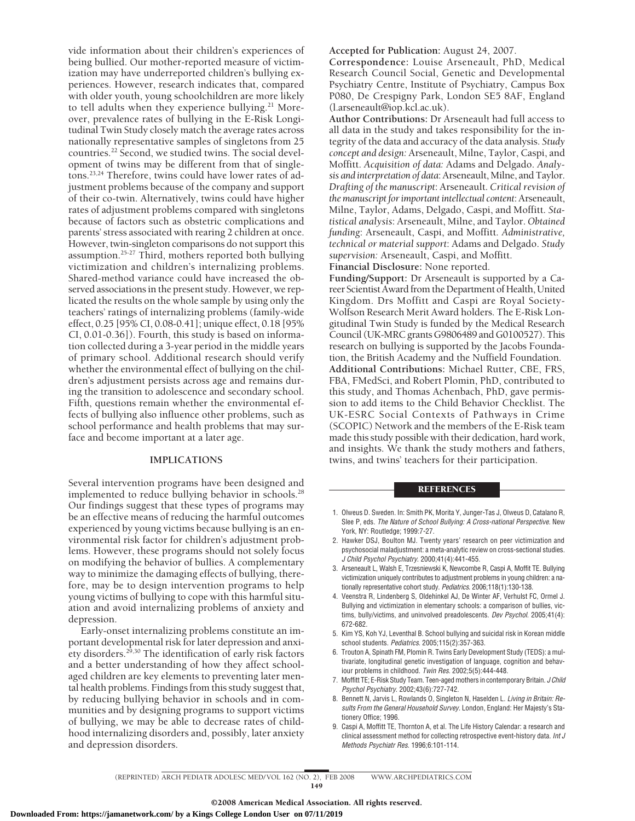vide information about their children's experiences of being bullied. Our mother-reported measure of victimization may have underreported children's bullying experiences. However, research indicates that, compared with older youth, young schoolchildren are more likely to tell adults when they experience bullying.<sup>21</sup> Moreover, prevalence rates of bullying in the E-Risk Longitudinal Twin Study closely match the average rates across nationally representative samples of singletons from 25 countries.22 Second, we studied twins. The social development of twins may be different from that of singletons.23,24 Therefore, twins could have lower rates of adjustment problems because of the company and support of their co-twin. Alternatively, twins could have higher rates of adjustment problems compared with singletons because of factors such as obstetric complications and parents' stress associated with rearing 2 children at once. However, twin-singleton comparisons do not support this assumption.25-27 Third, mothers reported both bullying victimization and children's internalizing problems. Shared-method variance could have increased the observed associations in the present study. However, we replicated the results on the whole sample by using only the teachers' ratings of internalizing problems (family-wide effect, 0.25 [95% CI, 0.08-0.41]; unique effect, 0.18 [95% CI, 0.01-0.36]). Fourth, this study is based on information collected during a 3-year period in the middle years of primary school. Additional research should verify whether the environmental effect of bullying on the children's adjustment persists across age and remains during the transition to adolescence and secondary school. Fifth, questions remain whether the environmental effects of bullying also influence other problems, such as school performance and health problems that may surface and become important at a later age.

# **IMPLICATIONS**

Several intervention programs have been designed and implemented to reduce bullying behavior in schools.<sup>28</sup> Our findings suggest that these types of programs may be an effective means of reducing the harmful outcomes experienced by young victims because bullying is an environmental risk factor for children's adjustment problems. However, these programs should not solely focus on modifying the behavior of bullies. A complementary way to minimize the damaging effects of bullying, therefore, may be to design intervention programs to help young victims of bullying to cope with this harmful situation and avoid internalizing problems of anxiety and depression.

Early-onset internalizing problems constitute an important developmental risk for later depression and anxiety disorders.<sup>29,30</sup> The identification of early risk factors and a better understanding of how they affect schoolaged children are key elements to preventing later mental health problems. Findings from this study suggest that, by reducing bullying behavior in schools and in communities and by designing programs to support victims of bullying, we may be able to decrease rates of childhood internalizing disorders and, possibly, later anxiety and depression disorders.

**Accepted for Publication:** August 24, 2007.

**Correspondence:** Louise Arseneault, PhD, Medical Research Council Social, Genetic and Developmental Psychiatry Centre, Institute of Psychiatry, Campus Box P080, De Crespigny Park, London SE5 8AF, England (l.arseneault@iop.kcl.ac.uk).

**Author Contributions:** Dr Arseneault had full access to all data in the study and takes responsibility for the integrity of the data and accuracy of the data analysis. *Study concept and design:* Arseneault, Milne, Taylor, Caspi, and Moffitt. *Acquisition of data:* Adams and Delgado. *Analysis and interpretation of data*: Arseneault, Milne, and Taylor. *Drafting of the manuscript*: Arseneault. *Critical revision of the manuscript for important intellectual content*: Arseneault, Milne, Taylor, Adams, Delgado, Caspi, and Moffitt. *Statistical analysis*: Arseneault, Milne, and Taylor. *Obtained funding*: Arseneault, Caspi, and Moffitt. *Administrative, technical or material support*: Adams and Delgado. *Study supervision:* Arseneault, Caspi, and Moffitt.

**Financial Disclosure:** None reported.

**Funding/Support:** Dr Arseneault is supported by a Career Scientist Award from the Department of Health, United Kingdom. Drs Moffitt and Caspi are Royal Society-Wolfson Research Merit Award holders. The E-Risk Longitudinal Twin Study is funded by the Medical Research Council (UK-MRC grants G9806489 and G0100527). This research on bullying is supported by the Jacobs Foundation, the British Academy and the Nuffield Foundation. **Additional Contributions:** Michael Rutter, CBE, FRS, FBA, FMedSci, and Robert Plomin, PhD, contributed to this study, and Thomas Achenbach, PhD, gave permission to add items to the Child Behavior Checklist. The UK-ESRC Social Contexts of Pathways in Crime (SCOPIC) Network and the members of the E-Risk team made this study possible with their dedication, hard work, and insights. We thank the study mothers and fathers, twins, and twins' teachers for their participation.

# **REFERENCES**

- 1. Olweus D. Sweden. In: Smith PK, Morita Y, Junger-Tas J, Olweus D, Catalano R, Slee P, eds. *The Nature of School Bullying: A Cross-national Perspective.* New York, NY: Routledge; 1999:7-27.
- 2. Hawker DSJ, Boulton MJ. Twenty years' research on peer victimization and psychosocial maladjustment: a meta-analytic review on cross-sectional studies. *J Child Psychol Psychiatry*. 2000;41(4):441-455.
- 3. Arseneault L, Walsh E, Trzesniewski K, Newcombe R, Caspi A, Moffit TE. Bullying victimization uniquely contributes to adjustment problems in young children: a nationally representative cohort study. *Pediatrics*. 2006;118(1):130-138.
- 4. Veenstra R, Lindenberg S, Oldehinkel AJ, De Winter AF, Verhulst FC, Ormel J. Bullying and victimization in elementary schools: a comparison of bullies, victims, bully/victims, and uninvolved preadolescents. *Dev Psychol*. 2005;41(4): 672-682.
- 5. Kim YS, Koh YJ, Leventhal B. School bullying and suicidal risk in Korean middle school students. *Pediatrics*. 2005;115(2):357-363.
- 6. Trouton A, Spinath FM, Plomin R. Twins Early Development Study (TEDS): a multivariate, longitudinal genetic investigation of language, cognition and behaviour problems in childhood. *Twin Res*. 2002;5(5):444-448.
- 7. Moffitt TE; E-Risk Study Team. Teen-aged mothers in contemporary Britain. *J Child Psychol Psychiatry*. 2002;43(6):727-742.
- 8. Bennett N, Jarvis L, Rowlands O, Singleton N, Haselden L. *Living in Britain: Results From the General Household Survey.* London, England: Her Majesty's Stationery Office; 1996.
- 9. Caspi A, Moffitt TE, Thornton A, et al. The Life History Calendar: a research and clinical assessment method for collecting retrospective event-history data. *Int J Methods Psychiatr Res*. 1996;6:101-114.

(REPRINTED) ARCH PEDIATR ADOLESC MED/ VOL 162 (NO. 2), FEB 2008 WWW.ARCHPEDIATRICS.COM 149